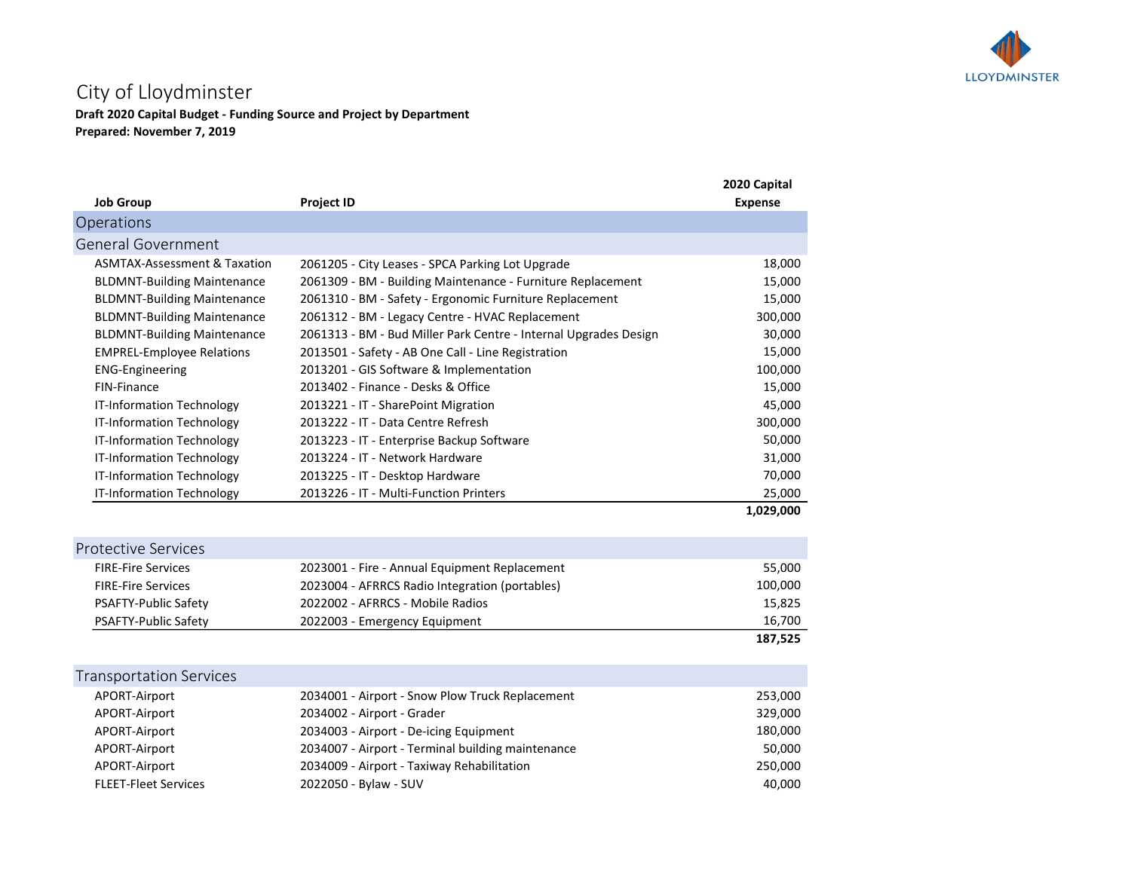

## City of Lloydminster

Draft 2020 Capital Budget - Funding Source and Project by Department Prepared: November 7, 2019

| <b>Job Group</b>                        | <b>Project ID</b>                                                | 2020 Capital<br><b>Expense</b> |
|-----------------------------------------|------------------------------------------------------------------|--------------------------------|
| Operations                              |                                                                  |                                |
| <b>General Government</b>               |                                                                  |                                |
| <b>ASMTAX-Assessment &amp; Taxation</b> | 2061205 - City Leases - SPCA Parking Lot Upgrade                 | 18,000                         |
| <b>BLDMNT-Building Maintenance</b>      | 2061309 - BM - Building Maintenance - Furniture Replacement      | 15,000                         |
|                                         |                                                                  |                                |
| <b>BLDMNT-Building Maintenance</b>      | 2061310 - BM - Safety - Ergonomic Furniture Replacement          | 15,000                         |
| <b>BLDMNT-Building Maintenance</b>      | 2061312 - BM - Legacy Centre - HVAC Replacement                  | 300,000                        |
| <b>BLDMNT-Building Maintenance</b>      | 2061313 - BM - Bud Miller Park Centre - Internal Upgrades Design | 30,000                         |
| <b>EMPREL-Employee Relations</b>        | 2013501 - Safety - AB One Call - Line Registration               | 15,000                         |
| <b>ENG-Engineering</b>                  | 2013201 - GIS Software & Implementation                          | 100,000                        |
| FIN-Finance                             | 2013402 - Finance - Desks & Office                               | 15,000                         |
| IT-Information Technology               | 2013221 - IT - SharePoint Migration                              | 45,000                         |
| <b>IT-Information Technology</b>        | 2013222 - IT - Data Centre Refresh                               | 300,000                        |
| IT-Information Technology               | 2013223 - IT - Enterprise Backup Software                        | 50,000                         |
| IT-Information Technology               | 2013224 - IT - Network Hardware                                  | 31,000                         |
| IT-Information Technology               | 2013225 - IT - Desktop Hardware                                  | 70,000                         |
| IT-Information Technology               | 2013226 - IT - Multi-Function Printers                           | 25,000                         |
|                                         |                                                                  | 1,029,000                      |
| <b>Protective Services</b>              |                                                                  |                                |
| <b>FIRE-Fire Services</b>               | 2023001 - Fire - Annual Equipment Replacement                    | 55,000                         |
| <b>FIRE-Fire Services</b>               | 2023004 - AFRRCS Radio Integration (portables)                   | 100,000                        |
| PSAFTY-Public Safety                    | 2022002 - AFRRCS - Mobile Radios                                 | 15,825                         |
| PSAFTY-Public Safety                    | 2022003 - Emergency Equipment                                    | 16,700                         |
|                                         |                                                                  | 187,525                        |
|                                         |                                                                  |                                |
| <b>Transportation Services</b>          |                                                                  |                                |
| APORT-Airport                           | 2034001 - Airport - Snow Plow Truck Replacement                  | 253,000                        |
| APORT-Airport                           | 2034002 - Airport - Grader                                       | 329,000                        |
| APORT-Airport                           | 2034003 - Airport - De-icing Equipment                           | 180,000                        |
| APORT-Airport                           | 2034007 - Airport - Terminal building maintenance                | 50,000                         |
| APORT-Airport                           | 2034009 - Airport - Taxiway Rehabilitation                       | 250,000                        |
| <b>FLEET-Fleet Services</b>             | 2022050 - Bylaw - SUV                                            | 40,000                         |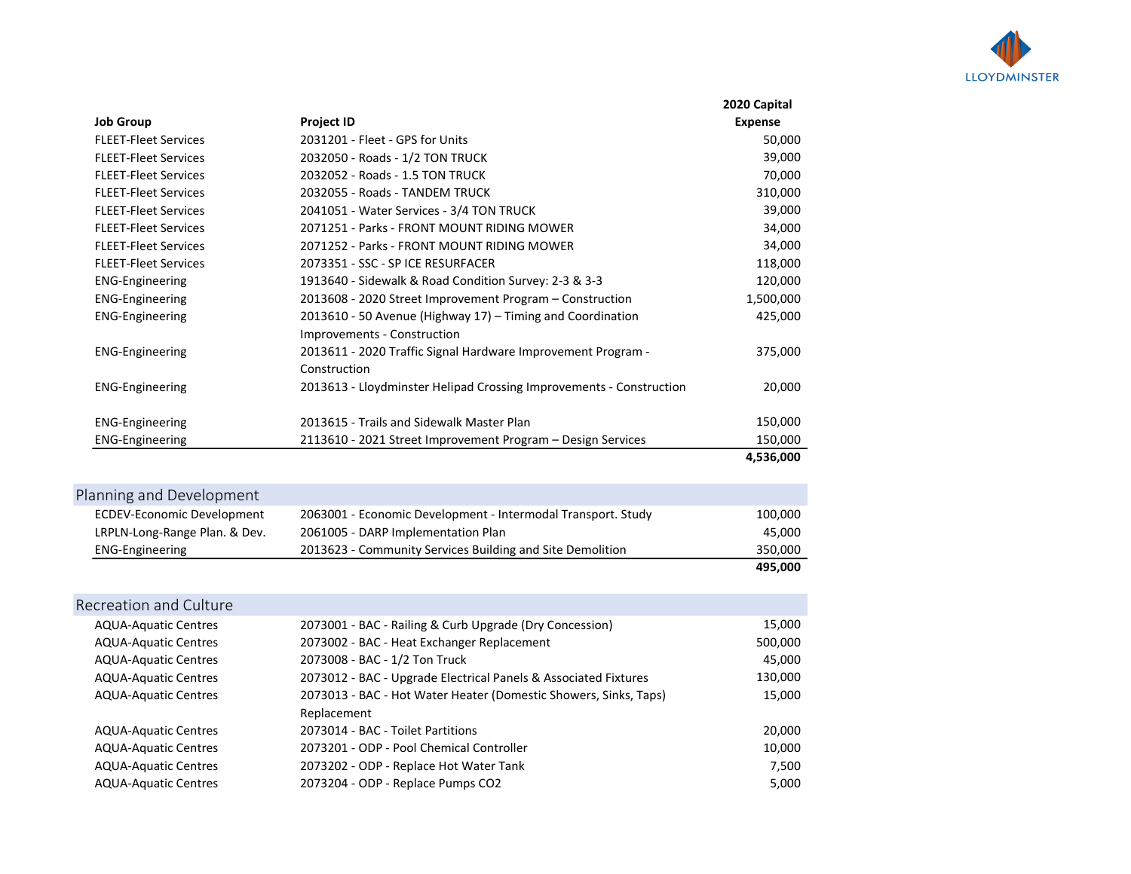

|                             |                                                                     | 2020 Capital   |
|-----------------------------|---------------------------------------------------------------------|----------------|
| <b>Job Group</b>            | <b>Project ID</b>                                                   | <b>Expense</b> |
| <b>FLEET-Fleet Services</b> | 2031201 - Fleet - GPS for Units                                     | 50,000         |
| <b>FLEET-Fleet Services</b> | 2032050 - Roads - 1/2 TON TRUCK                                     | 39,000         |
| <b>FLEET-Fleet Services</b> | 2032052 - Roads - 1.5 TON TRUCK                                     | 70,000         |
| <b>FLEET-Fleet Services</b> | 2032055 - Roads - TANDEM TRUCK                                      | 310,000        |
| <b>FLEET-Fleet Services</b> | 2041051 - Water Services - 3/4 TON TRUCK                            | 39,000         |
| <b>FLEET-Fleet Services</b> | 2071251 - Parks - FRONT MOUNT RIDING MOWER                          | 34,000         |
| <b>FLEET-Fleet Services</b> | 2071252 - Parks - FRONT MOUNT RIDING MOWER                          | 34,000         |
| <b>FLEET-Fleet Services</b> | 2073351 - SSC - SP ICE RESURFACER                                   | 118,000        |
| <b>ENG-Engineering</b>      | 1913640 - Sidewalk & Road Condition Survey: 2-3 & 3-3               | 120,000        |
| <b>ENG-Engineering</b>      | 2013608 - 2020 Street Improvement Program – Construction            | 1,500,000      |
| <b>ENG-Engineering</b>      | 2013610 - 50 Avenue (Highway 17) – Timing and Coordination          | 425,000        |
|                             | Improvements - Construction                                         |                |
| <b>ENG-Engineering</b>      | 2013611 - 2020 Traffic Signal Hardware Improvement Program -        | 375,000        |
|                             | Construction                                                        |                |
| <b>ENG-Engineering</b>      | 2013613 - Lloydminster Helipad Crossing Improvements - Construction | 20,000         |
|                             |                                                                     |                |
| <b>ENG-Engineering</b>      | 2013615 - Trails and Sidewalk Master Plan                           | 150,000        |
| <b>ENG-Engineering</b>      | 2113610 - 2021 Street Improvement Program - Design Services         | 150,000        |
|                             |                                                                     | 4,536,000      |

|                                   |                                                              | 495,000 |
|-----------------------------------|--------------------------------------------------------------|---------|
| <b>ENG-Engineering</b>            | 2013623 - Community Services Building and Site Demolition    | 350.000 |
| LRPLN-Long-Range Plan. & Dev.     | 2061005 - DARP Implementation Plan                           | 45,000  |
| <b>ECDEV-Economic Development</b> | 2063001 - Economic Development - Intermodal Transport. Study | 100,000 |
| Planning and Development          |                                                              |         |

| Recreation and Culture      |                                                                  |         |
|-----------------------------|------------------------------------------------------------------|---------|
| <b>AQUA-Aquatic Centres</b> | 2073001 - BAC - Railing & Curb Upgrade (Dry Concession)          | 15,000  |
| <b>AQUA-Aquatic Centres</b> | 2073002 - BAC - Heat Exchanger Replacement                       | 500,000 |
| <b>AQUA-Aquatic Centres</b> | 2073008 - BAC - 1/2 Ton Truck                                    | 45,000  |
| <b>AQUA-Aquatic Centres</b> | 2073012 - BAC - Upgrade Electrical Panels & Associated Fixtures  | 130,000 |
| <b>AQUA-Aquatic Centres</b> | 2073013 - BAC - Hot Water Heater (Domestic Showers, Sinks, Taps) | 15,000  |
|                             | Replacement                                                      |         |
| <b>AQUA-Aquatic Centres</b> | 2073014 - BAC - Toilet Partitions                                | 20,000  |
| <b>AQUA-Aquatic Centres</b> | 2073201 - ODP - Pool Chemical Controller                         | 10,000  |
| <b>AQUA-Aquatic Centres</b> | 2073202 - ODP - Replace Hot Water Tank                           | 7.500   |
| <b>AQUA-Aquatic Centres</b> | 2073204 - ODP - Replace Pumps CO2                                | 5,000   |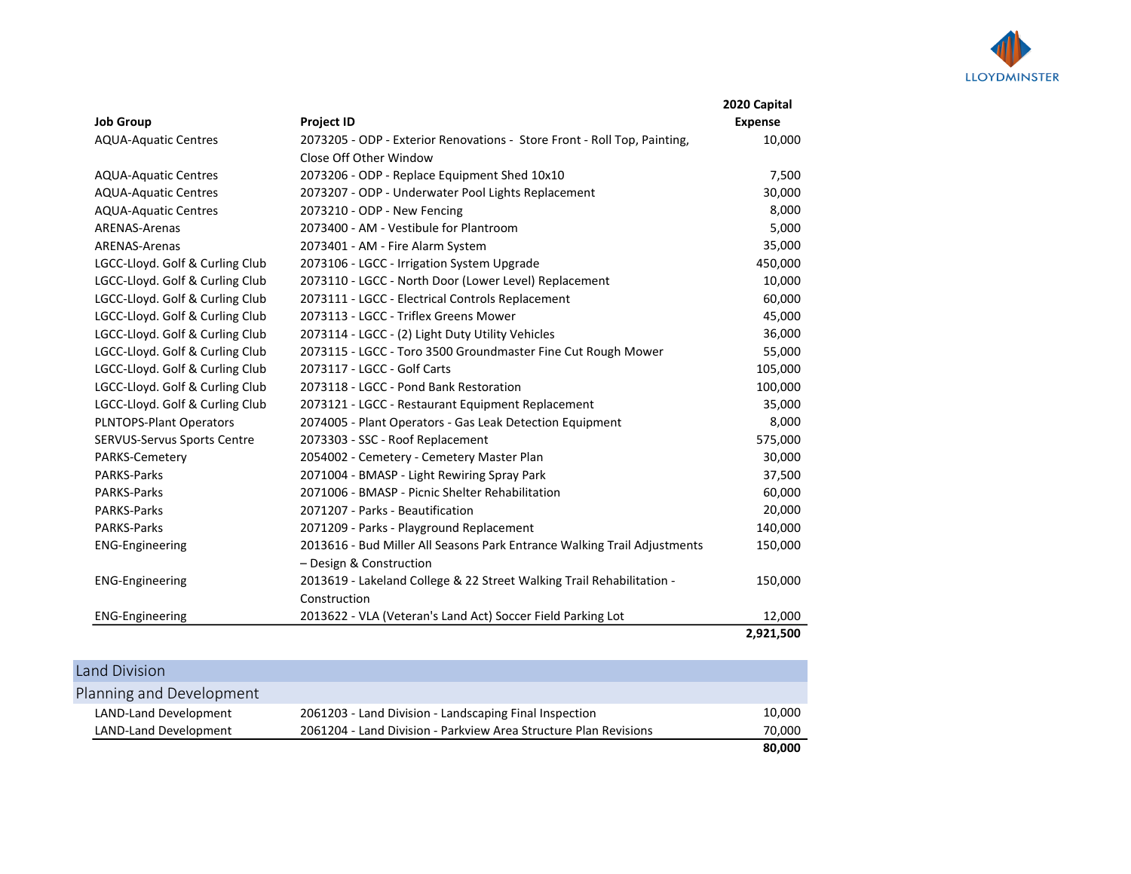

|                                 |                                                                          | 2020 Capital   |
|---------------------------------|--------------------------------------------------------------------------|----------------|
| <b>Job Group</b>                | <b>Project ID</b>                                                        | <b>Expense</b> |
| <b>AQUA-Aquatic Centres</b>     | 2073205 - ODP - Exterior Renovations - Store Front - Roll Top, Painting, | 10,000         |
|                                 | Close Off Other Window                                                   |                |
| <b>AQUA-Aquatic Centres</b>     | 2073206 - ODP - Replace Equipment Shed 10x10                             | 7,500          |
| <b>AQUA-Aquatic Centres</b>     | 2073207 - ODP - Underwater Pool Lights Replacement                       | 30,000         |
| <b>AQUA-Aquatic Centres</b>     | 2073210 - ODP - New Fencing                                              | 8,000          |
| <b>ARENAS-Arenas</b>            | 2073400 - AM - Vestibule for Plantroom                                   | 5,000          |
| <b>ARENAS-Arenas</b>            | 2073401 - AM - Fire Alarm System                                         | 35,000         |
| LGCC-Lloyd. Golf & Curling Club | 2073106 - LGCC - Irrigation System Upgrade                               | 450,000        |
| LGCC-Lloyd. Golf & Curling Club | 2073110 - LGCC - North Door (Lower Level) Replacement                    | 10,000         |
| LGCC-Lloyd. Golf & Curling Club | 2073111 - LGCC - Electrical Controls Replacement                         | 60,000         |
| LGCC-Lloyd. Golf & Curling Club | 2073113 - LGCC - Triflex Greens Mower                                    | 45,000         |
| LGCC-Lloyd. Golf & Curling Club | 2073114 - LGCC - (2) Light Duty Utility Vehicles                         | 36,000         |
| LGCC-Lloyd. Golf & Curling Club | 2073115 - LGCC - Toro 3500 Groundmaster Fine Cut Rough Mower             | 55,000         |
| LGCC-Lloyd. Golf & Curling Club | 2073117 - LGCC - Golf Carts                                              | 105,000        |
| LGCC-Lloyd. Golf & Curling Club | 2073118 - LGCC - Pond Bank Restoration                                   | 100,000        |
| LGCC-Lloyd. Golf & Curling Club | 2073121 - LGCC - Restaurant Equipment Replacement                        | 35,000         |
| PLNTOPS-Plant Operators         | 2074005 - Plant Operators - Gas Leak Detection Equipment                 | 8,000          |
| SERVUS-Servus Sports Centre     | 2073303 - SSC - Roof Replacement                                         | 575,000        |
| PARKS-Cemetery                  | 2054002 - Cemetery - Cemetery Master Plan                                | 30,000         |
| <b>PARKS-Parks</b>              | 2071004 - BMASP - Light Rewiring Spray Park                              | 37,500         |
| <b>PARKS-Parks</b>              | 2071006 - BMASP - Picnic Shelter Rehabilitation                          | 60,000         |
| <b>PARKS-Parks</b>              | 2071207 - Parks - Beautification                                         | 20,000         |
| <b>PARKS-Parks</b>              | 2071209 - Parks - Playground Replacement                                 | 140,000        |
| <b>ENG-Engineering</b>          | 2013616 - Bud Miller All Seasons Park Entrance Walking Trail Adjustments | 150,000        |
|                                 | - Design & Construction                                                  |                |
| <b>ENG-Engineering</b>          | 2013619 - Lakeland College & 22 Street Walking Trail Rehabilitation -    | 150,000        |
|                                 | Construction                                                             |                |
| <b>ENG-Engineering</b>          | 2013622 - VLA (Veteran's Land Act) Soccer Field Parking Lot              | 12,000         |
|                                 |                                                                          | 2,921,500      |

| Land Division            |                                                                  |        |
|--------------------------|------------------------------------------------------------------|--------|
| Planning and Development |                                                                  |        |
| LAND-Land Development    | 2061203 - Land Division - Landscaping Final Inspection           | 10,000 |
| LAND-Land Development    | 2061204 - Land Division - Parkview Area Structure Plan Revisions | 70,000 |
|                          |                                                                  | 80,000 |